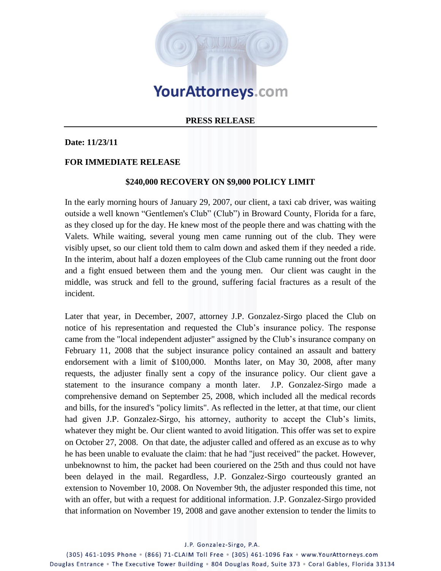

## **PRESS RELEASE**

## **Date: 11/23/11**

## **FOR IMMEDIATE RELEASE**

## **\$240,000 RECOVERY ON \$9,000 POLICY LIMIT**

In the early morning hours of January 29, 2007, our client, a taxi cab driver, was waiting outside a well known "Gentlemen's Club" (Club") in Broward County, Florida for a fare, as they closed up for the day. He knew most of the people there and was chatting with the Valets. While waiting, several young men came running out of the club. They were visibly upset, so our client told them to calm down and asked them if they needed a ride. In the interim, about half a dozen employees of the Club came running out the front door and a fight ensued between them and the young men. Our client was caught in the middle, was struck and fell to the ground, suffering facial fractures as a result of the incident.

Later that year, in December, 2007, attorney J.P. Gonzalez-Sirgo placed the Club on notice of his representation and requested the Club's insurance policy. The response came from the "local independent adjuster" assigned by the Club's insurance company on February 11, 2008 that the subject insurance policy contained an assault and battery endorsement with a limit of \$100,000. Months later, on May 30, 2008, after many requests, the adjuster finally sent a copy of the insurance policy. Our client gave a statement to the insurance company a month later. J.P. Gonzalez-Sirgo made a comprehensive demand on September 25, 2008, which included all the medical records and bills, for the insured's "policy limits". As reflected in the letter, at that time, our client had given J.P. Gonzalez-Sirgo, his attorney, authority to accept the Club's limits, whatever they might be. Our client wanted to avoid litigation. This offer was set to expire on October 27, 2008. On that date, the adjuster called and offered as an excuse as to why he has been unable to evaluate the claim: that he had "just received" the packet. However, unbeknownst to him, the packet had been couriered on the 25th and thus could not have been delayed in the mail. Regardless, J.P. Gonzalez-Sirgo courteously granted an extension to November 10, 2008. On November 9th, the adjuster responded this time, not with an offer, but with a request for additional information. J.P. Gonzalez-Sirgo provided that information on November 19, 2008 and gave another extension to tender the limits to

J.P. Gonzalez-Sirgo, P.A.